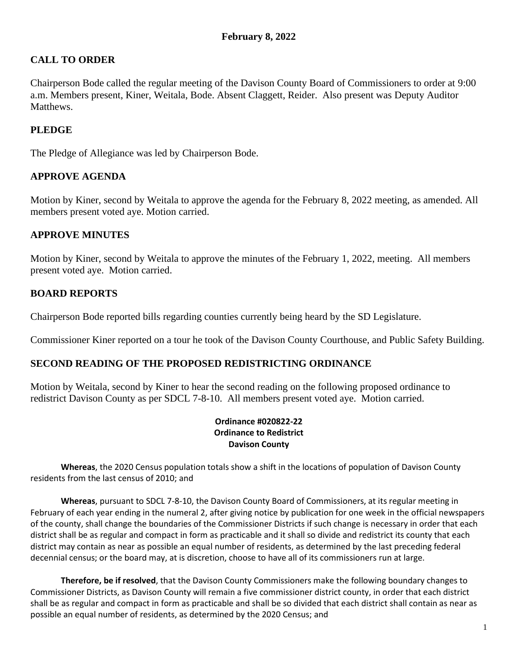# **CALL TO ORDER**

Chairperson Bode called the regular meeting of the Davison County Board of Commissioners to order at 9:00 a.m. Members present, Kiner, Weitala, Bode. Absent Claggett, Reider. Also present was Deputy Auditor **Matthews** 

# **PLEDGE**

The Pledge of Allegiance was led by Chairperson Bode.

### **APPROVE AGENDA**

Motion by Kiner, second by Weitala to approve the agenda for the February 8, 2022 meeting, as amended. All members present voted aye. Motion carried.

### **APPROVE MINUTES**

Motion by Kiner, second by Weitala to approve the minutes of the February 1, 2022, meeting. All members present voted aye. Motion carried.

### **BOARD REPORTS**

Chairperson Bode reported bills regarding counties currently being heard by the SD Legislature.

Commissioner Kiner reported on a tour he took of the Davison County Courthouse, and Public Safety Building.

# **SECOND READING OF THE PROPOSED REDISTRICTING ORDINANCE**

Motion by Weitala, second by Kiner to hear the second reading on the following proposed ordinance to redistrict Davison County as per SDCL 7-8-10. All members present voted aye. Motion carried.

#### **Ordinance #020822-22 Ordinance to Redistrict Davison County**

**Whereas**, the 2020 Census population totals show a shift in the locations of population of Davison County residents from the last census of 2010; and

**Whereas**, pursuant to SDCL 7-8-10, the Davison County Board of Commissioners, at its regular meeting in February of each year ending in the numeral 2, after giving notice by publication for one week in the official newspapers of the county, shall change the boundaries of the Commissioner Districts if such change is necessary in order that each district shall be as regular and compact in form as practicable and it shall so divide and redistrict its county that each district may contain as near as possible an equal number of residents, as determined by the last preceding federal decennial census; or the board may, at is discretion, choose to have all of its commissioners run at large.

**Therefore, be if resolved**, that the Davison County Commissioners make the following boundary changes to Commissioner Districts, as Davison County will remain a five commissioner district county, in order that each district shall be as regular and compact in form as practicable and shall be so divided that each district shall contain as near as possible an equal number of residents, as determined by the 2020 Census; and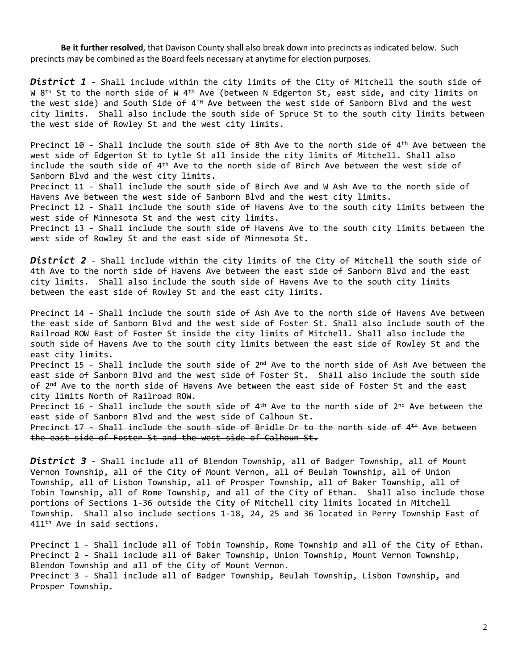**Be it further resolved**, that Davison County shall also break down into precincts as indicated below. Such precincts may be combined as the Board feels necessary at anytime for election purposes.

*District 1* - Shall include within the city limits of the City of Mitchell the south side of W 8<sup>th</sup> St to the north side of W 4<sup>th</sup> Ave (between N Edgerton St, east side, and city limits on the west side) and South Side of 4™ Ave between the west side of Sanborn Blvd and the west city limits. Shall also include the south side of Spruce St to the south city limits between the west side of Rowley St and the west city limits.

Precinct 10 - Shall include the south side of 8th Ave to the north side of 4<sup>th</sup> Ave between the west side of Edgerton St to Lytle St all inside the city limits of Mitchell. Shall also include the south side of 4th Ave to the north side of Birch Ave between the west side of Sanborn Blvd and the west city limits.

Precinct 11 - Shall include the south side of Birch Ave and W Ash Ave to the north side of Havens Ave between the west side of Sanborn Blvd and the west city limits.

Precinct 12 - Shall include the south side of Havens Ave to the south city limits between the west side of Minnesota St and the west city limits.

Precinct 13 - Shall include the south side of Havens Ave to the south city limits between the west side of Rowley St and the east side of Minnesota St.

*District 2* - Shall include within the city limits of the City of Mitchell the south side of 4th Ave to the north side of Havens Ave between the east side of Sanborn Blvd and the east city limits. Shall also include the south side of Havens Ave to the south city limits between the east side of Rowley St and the east city limits.

Precinct 14 - Shall include the south side of Ash Ave to the north side of Havens Ave between the east side of Sanborn Blvd and the west side of Foster St. Shall also include south of the Railroad ROW East of Foster St inside the city limits of Mitchell. Shall also include the south side of Havens Ave to the south city limits between the east side of Rowley St and the east city limits.

Precinct 15 - Shall include the south side of 2<sup>nd</sup> Ave to the north side of Ash Ave between the east side of Sanborn Blvd and the west side of Foster St. Shall also include the south side of 2<sup>nd</sup> Ave to the north side of Havens Ave between the east side of Foster St and the east city limits North of Railroad ROW.

Precinct 16 - Shall include the south side of 4<sup>th</sup> Ave to the north side of 2<sup>nd</sup> Ave between the east side of Sanborn Blvd and the west side of Calhoun St.

Precinct 17 - Shall include the south side of Bridle Dr to the north side of 4<sup>th</sup> Ave between the east side of Foster St and the west side of Calhoun St.

*District 3* - Shall include all of Blendon Township, all of Badger Township, all of Mount Vernon Township, all of the City of Mount Vernon, all of Beulah Township, all of Union Township, all of Lisbon Township, all of Prosper Township, all of Baker Township, all of Tobin Township, all of Rome Township, and all of the City of Ethan. Shall also include those portions of Sections 1-36 outside the City of Mitchell city limits located in Mitchell Township. Shall also include sections 1-18, 24, 25 and 36 located in Perry Township East of 411th Ave in said sections.

Precinct 1 - Shall include all of Tobin Township, Rome Township and all of the City of Ethan. Precinct 2 - Shall include all of Baker Township, Union Township, Mount Vernon Township, Blendon Township and all of the City of Mount Vernon. Precinct 3 - Shall include all of Badger Township, Beulah Township, Lisbon Township, and Prosper Township.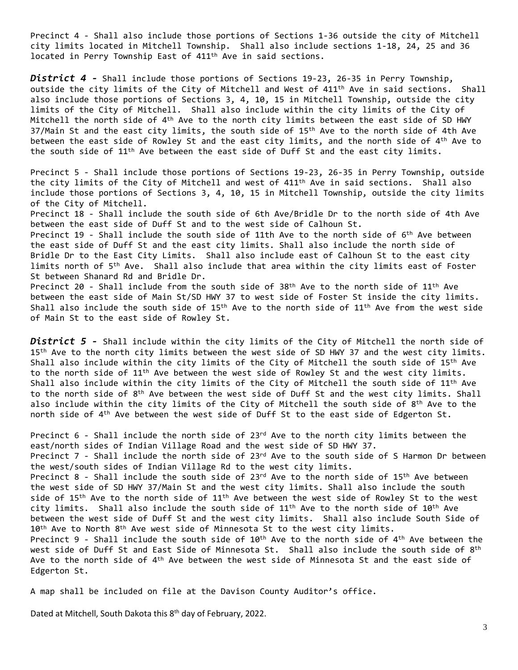Precinct 4 - Shall also include those portions of Sections 1-36 outside the city of Mitchell city limits located in Mitchell Township. Shall also include sections 1-18, 24, 25 and 36 located in Perry Township East of 411th Ave in said sections.

*District 4 -* Shall include those portions of Sections 19-23, 26-35 in Perry Township, outside the city limits of the City of Mitchell and West of 411th Ave in said sections. Shall also include those portions of Sections 3, 4, 10, 15 in Mitchell Township, outside the city limits of the City of Mitchell. Shall also include within the city limits of the City of Mitchell the north side of  $4^\text{th}$  Ave to the north city limits between the east side of SD HWY  $37/M$ ain St and the east city limits, the south side of  $15<sup>th</sup>$  Ave to the north side of 4th Ave between the east side of Rowley St and the east city limits, and the north side of 4<sup>th</sup> Ave to the south side of 11th Ave between the east side of Duff St and the east city limits.

Precinct 5 - Shall include those portions of Sections 19-23, 26-35 in Perry Township, outside the city limits of the City of Mitchell and west of 411th Ave in said sections. Shall also include those portions of Sections 3, 4, 10, 15 in Mitchell Township, outside the city limits of the City of Mitchell. Precinct 18 - Shall include the south side of 6th Ave/Bridle Dr to the north side of 4th Ave

between the east side of Duff St and to the west side of Calhoun St.

Precinct 19 - Shall include the south side of 11th Ave to the north side of 6<sup>th</sup> Ave between the east side of Duff St and the east city limits. Shall also include the north side of Bridle Dr to the East City Limits. Shall also include east of Calhoun St to the east city limits north of 5th Ave. Shall also include that area within the city limits east of Foster St between Shanard Rd and Bridle Dr.

Precinct 20 - Shall include from the south side of 38<sup>th</sup> Ave to the north side of 11<sup>th</sup> Ave between the east side of Main St/SD HWY 37 to west side of Foster St inside the city limits. Shall also include the south side of 15th Ave to the north side of 11th Ave from the west side of Main St to the east side of Rowley St.

*District 5 -* Shall include within the city limits of the City of Mitchell the north side of 15<sup>th</sup> Ave to the north city limits between the west side of SD HWY 37 and the west city limits. Shall also include within the city limits of the City of Mitchell the south side of 15<sup>th</sup> Ave to the north side of 11th Ave between the west side of Rowley St and the west city limits. Shall also include within the city limits of the City of Mitchell the south side of  $11^{\text{th}}$  Ave to the north side of 8<sup>th</sup> Ave between the west side of Duff St and the west city limits. Shall also include within the city limits of the City of Mitchell the south side of  $8^\text{th}$  Ave to the north side of 4 th Ave between the west side of Duff St to the east side of Edgerton St.

Precinct  $6$  - Shall include the north side of 23<sup>rd</sup> Ave to the north city limits between the east/north sides of Indian Village Road and the west side of SD HWY 37. Precinct 7 - Shall include the north side of 23rd Ave to the south side of S Harmon Dr between the west/south sides of Indian Village Rd to the west city limits. Precinct 8 - Shall include the south side of 23<sup>rd</sup> Ave to the north side of 15<sup>th</sup> Ave between the west side of SD HWY 37/Main St and the west city limits. Shall also include the south side of 15<sup>th</sup> Ave to the north side of 11<sup>th</sup> Ave between the west side of Rowley St to the west city limits. Shall also include the south side of 11<sup>th</sup> Ave to the north side of 10<sup>th</sup> Ave between the west side of Duff St and the west city limits. Shall also include South Side of  $10<sup>th</sup>$  Ave to North  $8<sup>th</sup>$  Ave west side of Minnesota St to the west city limits. Precinct 9 - Shall include the south side of  $10^{\text{th}}$  Ave to the north side of  $4^{\text{th}}$  Ave between the west side of Duff St and East Side of Minnesota St.  $\,$  Shall also include the south side of  $8^{\rm th}$ Ave to the north side of 4<sup>th</sup> Ave between the west side of Minnesota St and the east side of Edgerton St.

A map shall be included on file at the Davison County Auditor's office.

Dated at Mitchell, South Dakota this 8<sup>th</sup> day of February, 2022.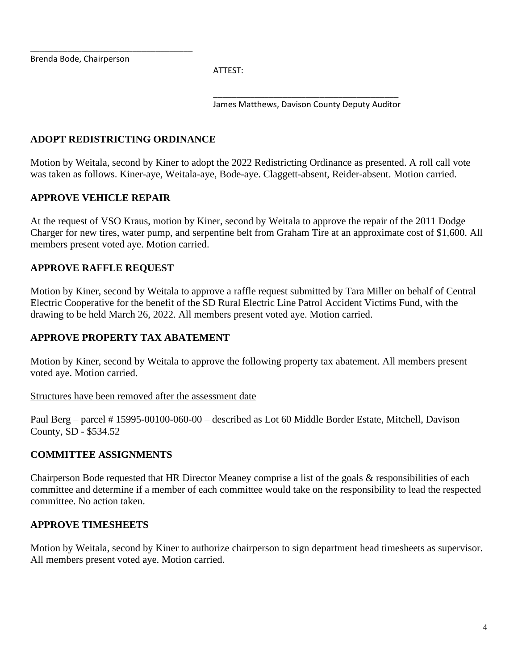Brenda Bode, Chairperson

ATTEST:

\_\_\_\_\_\_\_\_\_\_\_\_\_\_\_\_\_\_\_\_\_\_\_\_\_\_\_\_\_\_\_\_\_\_\_\_\_\_\_\_ James Matthews, Davison County Deputy Auditor

### **ADOPT REDISTRICTING ORDINANCE**

\_\_\_\_\_\_\_\_\_\_\_\_\_\_\_\_\_\_\_\_\_\_\_\_\_\_\_\_\_\_\_\_\_\_\_

Motion by Weitala, second by Kiner to adopt the 2022 Redistricting Ordinance as presented. A roll call vote was taken as follows. Kiner-aye, Weitala-aye, Bode-aye. Claggett-absent, Reider-absent. Motion carried.

### **APPROVE VEHICLE REPAIR**

At the request of VSO Kraus, motion by Kiner, second by Weitala to approve the repair of the 2011 Dodge Charger for new tires, water pump, and serpentine belt from Graham Tire at an approximate cost of \$1,600. All members present voted aye. Motion carried.

### **APPROVE RAFFLE REQUEST**

Motion by Kiner, second by Weitala to approve a raffle request submitted by Tara Miller on behalf of Central Electric Cooperative for the benefit of the SD Rural Electric Line Patrol Accident Victims Fund, with the drawing to be held March 26, 2022. All members present voted aye. Motion carried.

#### **APPROVE PROPERTY TAX ABATEMENT**

Motion by Kiner, second by Weitala to approve the following property tax abatement. All members present voted aye. Motion carried.

#### Structures have been removed after the assessment date

Paul Berg – parcel # 15995-00100-060-00 – described as Lot 60 Middle Border Estate, Mitchell, Davison County, SD - \$534.52

#### **COMMITTEE ASSIGNMENTS**

Chairperson Bode requested that HR Director Meaney comprise a list of the goals & responsibilities of each committee and determine if a member of each committee would take on the responsibility to lead the respected committee. No action taken.

#### **APPROVE TIMESHEETS**

Motion by Weitala, second by Kiner to authorize chairperson to sign department head timesheets as supervisor. All members present voted aye. Motion carried.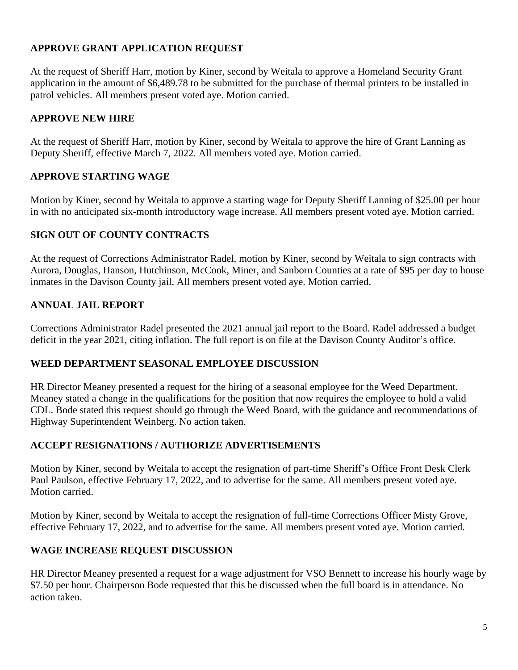# **APPROVE GRANT APPLICATION REQUEST**

At the request of Sheriff Harr, motion by Kiner, second by Weitala to approve a Homeland Security Grant application in the amount of \$6,489.78 to be submitted for the purchase of thermal printers to be installed in patrol vehicles. All members present voted aye. Motion carried.

### **APPROVE NEW HIRE**

At the request of Sheriff Harr, motion by Kiner, second by Weitala to approve the hire of Grant Lanning as Deputy Sheriff, effective March 7, 2022. All members voted aye. Motion carried.

### **APPROVE STARTING WAGE**

Motion by Kiner, second by Weitala to approve a starting wage for Deputy Sheriff Lanning of \$25.00 per hour in with no anticipated six-month introductory wage increase. All members present voted aye. Motion carried.

### **SIGN OUT OF COUNTY CONTRACTS**

At the request of Corrections Administrator Radel, motion by Kiner, second by Weitala to sign contracts with Aurora, Douglas, Hanson, Hutchinson, McCook, Miner, and Sanborn Counties at a rate of \$95 per day to house inmates in the Davison County jail. All members present voted aye. Motion carried.

### **ANNUAL JAIL REPORT**

Corrections Administrator Radel presented the 2021 annual jail report to the Board. Radel addressed a budget deficit in the year 2021, citing inflation. The full report is on file at the Davison County Auditor's office.

#### **WEED DEPARTMENT SEASONAL EMPLOYEE DISCUSSION**

HR Director Meaney presented a request for the hiring of a seasonal employee for the Weed Department. Meaney stated a change in the qualifications for the position that now requires the employee to hold a valid CDL. Bode stated this request should go through the Weed Board, with the guidance and recommendations of Highway Superintendent Weinberg. No action taken.

### **ACCEPT RESIGNATIONS / AUTHORIZE ADVERTISEMENTS**

Motion by Kiner, second by Weitala to accept the resignation of part-time Sheriff's Office Front Desk Clerk Paul Paulson, effective February 17, 2022, and to advertise for the same. All members present voted aye. Motion carried.

Motion by Kiner, second by Weitala to accept the resignation of full-time Corrections Officer Misty Grove, effective February 17, 2022, and to advertise for the same. All members present voted aye. Motion carried.

#### **WAGE INCREASE REQUEST DISCUSSION**

HR Director Meaney presented a request for a wage adjustment for VSO Bennett to increase his hourly wage by \$7.50 per hour. Chairperson Bode requested that this be discussed when the full board is in attendance. No action taken.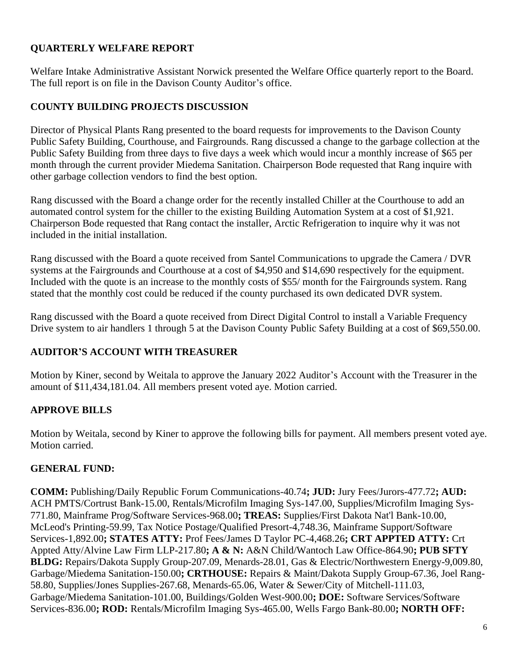# **QUARTERLY WELFARE REPORT**

Welfare Intake Administrative Assistant Norwick presented the Welfare Office quarterly report to the Board. The full report is on file in the Davison County Auditor's office.

# **COUNTY BUILDING PROJECTS DISCUSSION**

Director of Physical Plants Rang presented to the board requests for improvements to the Davison County Public Safety Building, Courthouse, and Fairgrounds. Rang discussed a change to the garbage collection at the Public Safety Building from three days to five days a week which would incur a monthly increase of \$65 per month through the current provider Miedema Sanitation. Chairperson Bode requested that Rang inquire with other garbage collection vendors to find the best option.

Rang discussed with the Board a change order for the recently installed Chiller at the Courthouse to add an automated control system for the chiller to the existing Building Automation System at a cost of \$1,921. Chairperson Bode requested that Rang contact the installer, Arctic Refrigeration to inquire why it was not included in the initial installation.

Rang discussed with the Board a quote received from Santel Communications to upgrade the Camera / DVR systems at the Fairgrounds and Courthouse at a cost of \$4,950 and \$14,690 respectively for the equipment. Included with the quote is an increase to the monthly costs of \$55/ month for the Fairgrounds system. Rang stated that the monthly cost could be reduced if the county purchased its own dedicated DVR system.

Rang discussed with the Board a quote received from Direct Digital Control to install a Variable Frequency Drive system to air handlers 1 through 5 at the Davison County Public Safety Building at a cost of \$69,550.00.

# **AUDITOR'S ACCOUNT WITH TREASURER**

Motion by Kiner, second by Weitala to approve the January 2022 Auditor's Account with the Treasurer in the amount of \$11,434,181.04. All members present voted aye. Motion carried.

# **APPROVE BILLS**

Motion by Weitala, second by Kiner to approve the following bills for payment. All members present voted aye. Motion carried.

# **GENERAL FUND:**

**COMM:** Publishing/Daily Republic Forum Communications-40.74**; JUD:** Jury Fees/Jurors-477.72**; AUD:** ACH PMTS/Cortrust Bank-15.00, Rentals/Microfilm Imaging Sys-147.00, Supplies/Microfilm Imaging Sys-771.80, Mainframe Prog/Software Services-968.00**; TREAS:** Supplies/First Dakota Nat'l Bank-10.00, McLeod's Printing-59.99, Tax Notice Postage/Qualified Presort-4,748.36, Mainframe Support/Software Services-1,892.00**; STATES ATTY:** Prof Fees/James D Taylor PC-4,468.26**; CRT APPTED ATTY:** Crt Appted Atty/Alvine Law Firm LLP-217.80**; A & N:** A&N Child/Wantoch Law Office-864.90**; PUB SFTY BLDG:** Repairs/Dakota Supply Group-207.09, Menards-28.01, Gas & Electric/Northwestern Energy-9,009.80, Garbage/Miedema Sanitation-150.00**; CRTHOUSE:** Repairs & Maint/Dakota Supply Group-67.36, Joel Rang-58.80, Supplies/Jones Supplies-267.68, Menards-65.06, Water & Sewer/City of Mitchell-111.03, Garbage/Miedema Sanitation-101.00, Buildings/Golden West-900.00**; DOE:** Software Services/Software Services-836.00**; ROD:** Rentals/Microfilm Imaging Sys-465.00, Wells Fargo Bank-80.00**; NORTH OFF:**